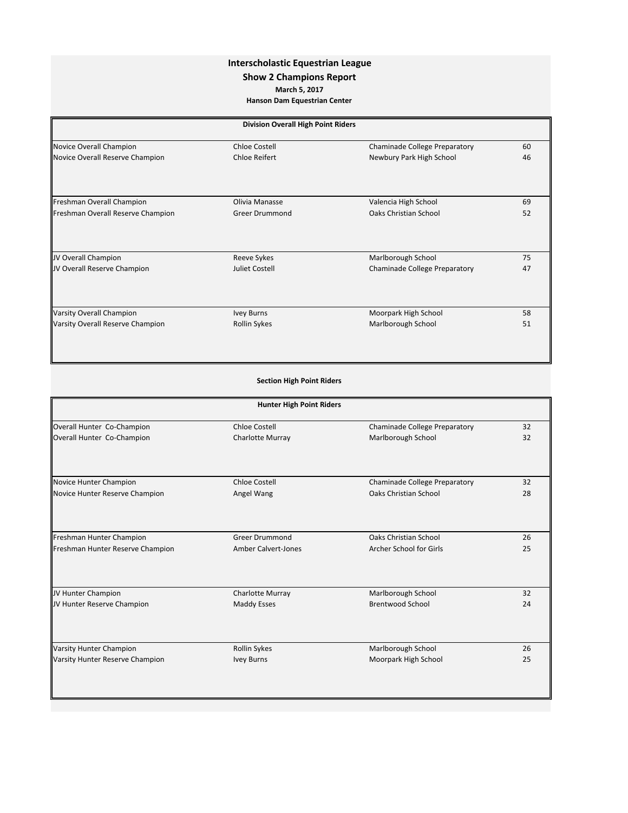## **Interscholastic Equestrian League**

## **Show 2 Champions Report**

**March 5, 2017**

**Hanson Dam Equestrian Center**

| <b>Division Overall High Point Riders</b> |                       |                               |    |
|-------------------------------------------|-----------------------|-------------------------------|----|
| Novice Overall Champion                   | <b>Chloe Costell</b>  | Chaminade College Preparatory | 60 |
| Novice Overall Reserve Champion           | <b>Chloe Reifert</b>  | Newbury Park High School      | 46 |
| Freshman Overall Champion                 | Olivia Manasse        | Valencia High School          | 69 |
| Freshman Overall Reserve Champion         | <b>Greer Drummond</b> | Oaks Christian School         | 52 |
| JV Overall Champion                       | Reeve Sykes           | Marlborough School            | 75 |
| JV Overall Reserve Champion               | Juliet Costell        | Chaminade College Preparatory | 47 |
| Varsity Overall Champion                  | <b>Ivey Burns</b>     | Moorpark High School          | 58 |
| Varsity Overall Reserve Champion          | <b>Rollin Sykes</b>   | Marlborough School            | 51 |

| <b>Section High Point Riders</b> |  |  |
|----------------------------------|--|--|

|                                  | <b>Hunter High Point Riders</b> |                               |    |  |
|----------------------------------|---------------------------------|-------------------------------|----|--|
| Overall Hunter Co-Champion       | Chloe Costell                   | Chaminade College Preparatory | 32 |  |
| Overall Hunter Co-Champion       | <b>Charlotte Murray</b>         | Marlborough School            | 32 |  |
| Novice Hunter Champion           | <b>Chloe Costell</b>            | Chaminade College Preparatory | 32 |  |
| Novice Hunter Reserve Champion   | Angel Wang                      | Oaks Christian School         | 28 |  |
| Freshman Hunter Champion         | <b>Greer Drummond</b>           | Oaks Christian School         | 26 |  |
| Freshman Hunter Reserve Champion | <b>Amber Calvert-Jones</b>      | Archer School for Girls       | 25 |  |
| JV Hunter Champion               | <b>Charlotte Murray</b>         | Marlborough School            | 32 |  |
| JV Hunter Reserve Champion       | <b>Maddy Esses</b>              | <b>Brentwood School</b>       | 24 |  |
| <b>Varsity Hunter Champion</b>   |                                 |                               |    |  |
|                                  | Rollin Sykes                    | Marlborough School            | 26 |  |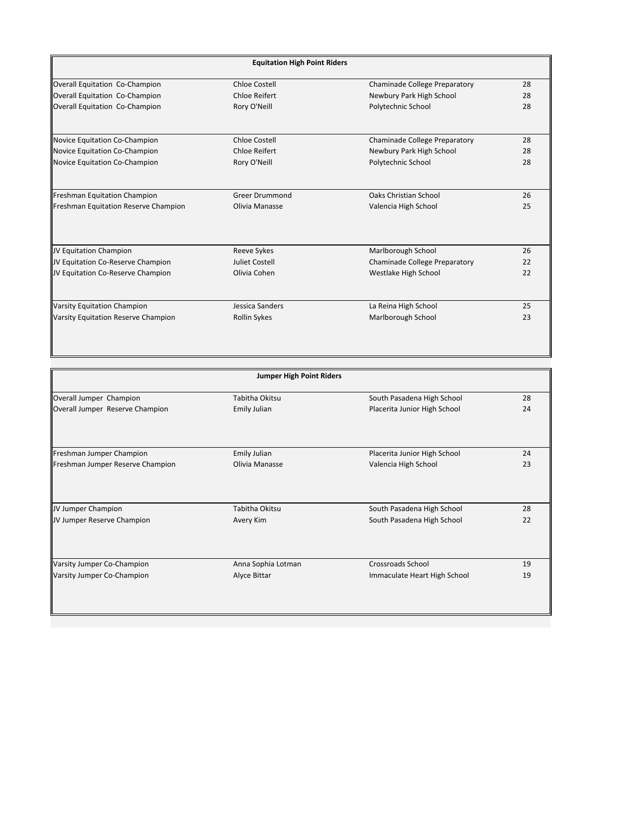| <b>Equitation High Point Riders</b>  |                       |                               |    |
|--------------------------------------|-----------------------|-------------------------------|----|
| Overall Equitation Co-Champion       | Chloe Costell         | Chaminade College Preparatory | 28 |
| Overall Equitation Co-Champion       | Chloe Reifert         | Newbury Park High School      | 28 |
| Overall Equitation Co-Champion       | Rory O'Neill          | Polytechnic School            | 28 |
| Novice Equitation Co-Champion        | Chloe Costell         | Chaminade College Preparatory | 28 |
| Novice Equitation Co-Champion        | Chloe Reifert         | Newbury Park High School      | 28 |
| Novice Equitation Co-Champion        | Rory O'Neill          | Polytechnic School            | 28 |
| Freshman Equitation Champion         | <b>Greer Drummond</b> | Oaks Christian School         | 26 |
| Freshman Equitation Reserve Champion | Olivia Manasse        | Valencia High School          | 25 |
|                                      |                       |                               |    |
| JV Equitation Champion               | Reeve Sykes           | Marlborough School            | 26 |
| JV Equitation Co-Reserve Champion    | Juliet Costell        | Chaminade College Preparatory | 22 |
| JV Equitation Co-Reserve Champion    | Olivia Cohen          | Westlake High School          | 22 |
| <b>Varsity Equitation Champion</b>   | Jessica Sanders       | La Reina High School          | 25 |
| Varsity Equitation Reserve Champion  | <b>Rollin Sykes</b>   | Marlborough School            | 23 |

| <b>Jumper High Point Riders</b>  |                     |                              |    |
|----------------------------------|---------------------|------------------------------|----|
| Overall Jumper Champion          | Tabitha Okitsu      | South Pasadena High School   | 28 |
| Overall Jumper Reserve Champion  | <b>Emily Julian</b> | Placerita Junior High School | 24 |
| Freshman Jumper Champion         | <b>Emily Julian</b> | Placerita Junior High School | 24 |
| Freshman Jumper Reserve Champion | Olivia Manasse      | Valencia High School         | 23 |
| JV Jumper Champion               | Tabitha Okitsu      | South Pasadena High School   | 28 |
| JV Jumper Reserve Champion       | Avery Kim           | South Pasadena High School   | 22 |
| Varsity Jumper Co-Champion       | Anna Sophia Lotman  | <b>Crossroads School</b>     | 19 |
| Varsity Jumper Co-Champion       | Alyce Bittar        | Immaculate Heart High School | 19 |
|                                  |                     |                              |    |